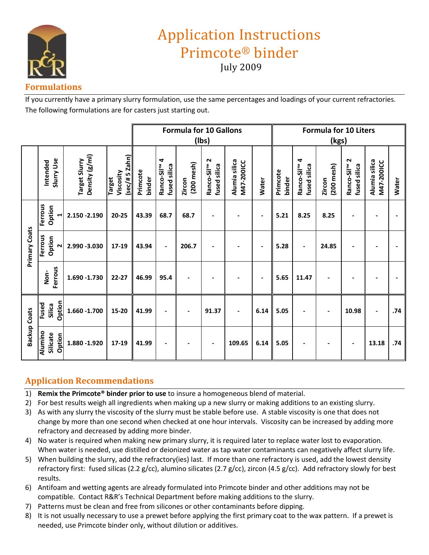

# Application Instructions Primcote® binder

July 2009

## **Formulations**

If you currently have a primary slurry formulation, use the same percentages and loadings of your current refractories. The following formulations are for casters just starting out.

|                      |                                     |                                 | <b>Formula for 10 Gallons</b>                  |                    |                                          |                           |                                           | <b>Formula for 10 Liters</b>       |                          |                    |                                          |                           |                                           |                             |              |
|----------------------|-------------------------------------|---------------------------------|------------------------------------------------|--------------------|------------------------------------------|---------------------------|-------------------------------------------|------------------------------------|--------------------------|--------------------|------------------------------------------|---------------------------|-------------------------------------------|-----------------------------|--------------|
|                      |                                     |                                 |                                                | (Ibs)              |                                          |                           |                                           | (kgs)                              |                          |                    |                                          |                           |                                           |                             |              |
|                      | Slurry Use<br>Intended              | Density (g/ml)<br>Target Slurry | Zahn)<br>Viscosity<br>$3 + 5$<br><b>Target</b> | Primcote<br>binder | Ranco-Sil <sup>™</sup> 4<br>fused silica | $(200$ mesh $)$<br>Zircon | Ranco-Sil <sup>TM</sup> 2<br>fused silica | Alumia silica<br><b>M47-200ICC</b> | <b>Water</b>             | Primcote<br>binder | Ranco-Sil <sup>™</sup> 4<br>fused silica | $(200$ mesh $)$<br>Zircon | Ranco-Sil <sup>TM</sup> 2<br>fused silica | Alumia silica<br>M47-200ICC | <b>Water</b> |
| <b>Primary Coats</b> | Ferrous<br>Option<br>$\blacksquare$ | 2.150 - 2.190                   | $20 - 25$                                      | 43.39              | 68.7                                     | 68.7                      |                                           |                                    | $\overline{\phantom{a}}$ | 5.21               | 8.25                                     | 8.25                      |                                           |                             |              |
|                      | Ferrous<br>Option<br>$\sim$         | 2.990 -3.030                    | 17-19                                          | 43.94              | $\overline{a}$                           | 206.7                     |                                           |                                    | $\blacksquare$           | 5.28               | $\blacksquare$                           | 24.85                     | $\overline{\phantom{a}}$                  |                             |              |
|                      | Ferrous<br>Non-                     | 1.690 - 1.730                   | $22 - 27$                                      | 46.99              | 95.4                                     |                           |                                           |                                    | $\blacksquare$           | 5.65               | 11.47                                    |                           |                                           |                             |              |
| <b>Backup Coats</b>  | Option<br>Fused<br>Silica           | 1.660 -1.700                    | 15-20                                          | 41.99              |                                          | $\blacksquare$            | 91.37                                     |                                    | 6.14                     | 5.05               |                                          |                           | 10.98                                     |                             | .74          |
|                      | Alumino<br>Silicate<br>Option       | 1.880 - 1.920                   | 17-19                                          | 41.99              |                                          |                           | $\overline{\phantom{a}}$                  | 109.65                             | 6.14                     | 5.05               |                                          |                           | $\blacksquare$                            | 13.18                       | .74          |

## **Application Recommendations**

- 1) **Remix the Primcote® binder prior to use** to insure a homogeneous blend of material.
- 2) For best results weigh all ingredients when making up a new slurry or making additions to an existing slurry.
- 3) As with any slurry the viscosity of the slurry must be stable before use. A stable viscosity is one that does not change by more than one second when checked at one hour intervals. Viscosity can be increased by adding more refractory and decreased by adding more binder.
- 4) No water is required when making new primary slurry, it is required later to replace water lost to evaporation. When water is needed, use distilled or deionized water as tap water contaminants can negatively affect slurry life.
- 5) When building the slurry, add the refractory(ies) last. If more than one refractory is used, add the lowest density refractory first: fused silicas (2.2 g/cc), alumino silicates (2.7 g/cc), zircon (4.5 g/cc). Add refractory slowly for best results.
- 6) Antifoam and wetting agents are already formulated into Primcote binder and other additions may not be compatible. Contact R&R's Technical Department before making additions to the slurry.
- 7) Patterns must be clean and free from silicones or other contaminants before dipping.
- 8) It is not usually necessary to use a prewet before applying the first primary coat to the wax pattern. If a prewet is needed, use Primcote binder only, without dilution or additives.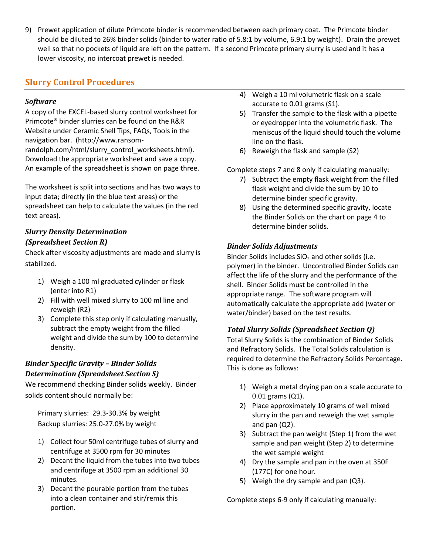9) Prewet application of dilute Primcote binder is recommended between each primary coat. The Primcote binder should be diluted to 26% binder solids (binder to water ratio of 5.8:1 by volume, 6.9:1 by weight). Drain the prewet well so that no pockets of liquid are left on the pattern. If a second Primcote primary slurry is used and it has a lower viscosity, no intercoat prewet is needed.

## **Slurry Control Procedures**

### *Software*

A copy of the EXCEL-based slurry control worksheet for Primcote® binder slurries can be found on the R&R Website under Ceramic Shell Tips, FAQs, Tools in the navigation bar. (http://www.ransomrandolph.com/html/slurry\_control\_worksheets.html). Download the appropriate worksheet and save a copy. An example of the spreadsheet is shown on page three.

The worksheet is split into sections and has two ways to input data; directly (in the blue text areas) or the spreadsheet can help to calculate the values (in the red text areas).

## *Slurry Density Determination (Spreadsheet Section R)*

Check after viscosity adjustments are made and slurry is stabilized.

- 1) Weigh a 100 ml graduated cylinder or flask (enter into R1)
- 2) Fill with well mixed slurry to 100 ml line and reweigh (R2)
- 3) Complete this step only if calculating manually, subtract the empty weight from the filled weight and divide the sum by 100 to determine density.

## *Binder Specific Gravity – Binder Solids Determination (Spreadsheet Section S)*

We recommend checking Binder solids weekly. Binder solids content should normally be:

Primary slurries: 29.3-30.3% by weight Backup slurries: 25.0-27.0% by weight

- 1) Collect four 50ml centrifuge tubes of slurry and centrifuge at 3500 rpm for 30 minutes
- 2) Decant the liquid from the tubes into two tubes and centrifuge at 3500 rpm an additional 30 minutes.
- 3) Decant the pourable portion from the tubes into a clean container and stir/remix this portion.
- 4) Weigh a 10 ml volumetric flask on a scale accurate to 0.01 grams (S1).
- 5) Transfer the sample to the flask with a pipette or eyedropper into the volumetric flask. The meniscus of the liquid should touch the volume line on the flask.
- 6) Reweigh the flask and sample (S2)

Complete steps 7 and 8 only if calculating manually:

- 7) Subtract the empty flask weight from the filled flask weight and divide the sum by 10 to determine binder specific gravity.
- 8) Using the determined specific gravity, locate the Binder Solids on the chart on page 4 to determine binder solids.

## *Binder Solids Adjustments*

Binder Solids includes  $SiO<sub>2</sub>$  and other solids (i.e. polymer) in the binder. Uncontrolled Binder Solids can affect the life of the slurry and the performance of the shell. Binder Solids must be controlled in the appropriate range. The software program will automatically calculate the appropriate add (water or water/binder) based on the test results.

## *Total Slurry Solids (Spreadsheet Section Q)*

Total Slurry Solids is the combination of Binder Solids and Refractory Solids. The Total Solids calculation is required to determine the Refractory Solids Percentage. This is done as follows:

- 1) Weigh a metal drying pan on a scale accurate to 0.01 grams (Q1).
- 2) Place approximately 10 grams of well mixed slurry in the pan and reweigh the wet sample and pan (Q2).
- 3) Subtract the pan weight (Step 1) from the wet sample and pan weight (Step 2) to determine the wet sample weight
- 4) Dry the sample and pan in the oven at 350F (177C) for one hour.
- 5) Weigh the dry sample and pan (Q3).

Complete steps 6-9 only if calculating manually: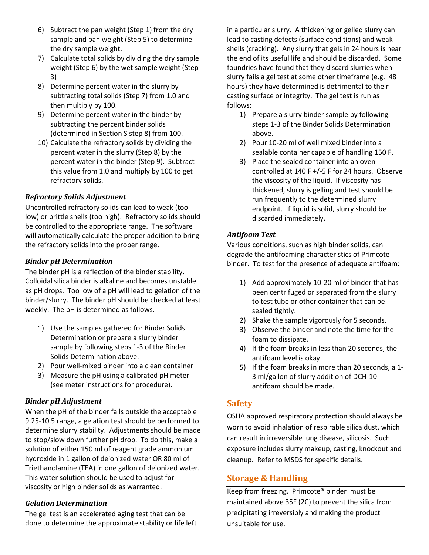- 6) Subtract the pan weight (Step 1) from the dry sample and pan weight (Step 5) to determine the dry sample weight.
- 7) Calculate total solids by dividing the dry sample weight (Step 6) by the wet sample weight (Step 3)
- 8) Determine percent water in the slurry by subtracting total solids (Step 7) from 1.0 and then multiply by 100.
- 9) Determine percent water in the binder by subtracting the percent binder solids (determined in Section S step 8) from 100.
- 10) Calculate the refractory solids by dividing the percent water in the slurry (Step 8) by the percent water in the binder (Step 9). Subtract this value from 1.0 and multiply by 100 to get refractory solids.

#### *Refractory Solids Adjustment*

Uncontrolled refractory solids can lead to weak (too low) or brittle shells (too high). Refractory solids should be controlled to the appropriate range. The software will automatically calculate the proper addition to bring the refractory solids into the proper range.

#### *Binder pH Determination*

The binder pH is a reflection of the binder stability. Colloidal silica binder is alkaline and becomes unstable as pH drops. Too low of a pH will lead to gelation of the binder/slurry. The binder pH should be checked at least weekly. The pH is determined as follows.

- 1) Use the samples gathered for Binder Solids Determination or prepare a slurry binder sample by following steps 1-3 of the Binder Solids Determination above.
- 2) Pour well-mixed binder into a clean container
- 3) Measure the pH using a calibrated pH meter (see meter instructions for procedure).

#### *Binder pH Adjustment*

When the pH of the binder falls outside the acceptable 9.25-10.5 range, a gelation test should be performed to determine slurry stability. Adjustments should be made to stop/slow down further pH drop. To do this, make a solution of either 150 ml of reagent grade ammonium hydroxide in 1 gallon of deionized water OR 80 ml of Triethanolamine (TEA) in one gallon of deionized water. This water solution should be used to adjust for viscosity or high binder solids as warranted.

#### *Gelation Determination*

The gel test is an accelerated aging test that can be done to determine the approximate stability or life left

in a particular slurry. A thickening or gelled slurry can lead to casting defects (surface conditions) and weak shells (cracking). Any slurry that gels in 24 hours is near the end of its useful life and should be discarded. Some foundries have found that they discard slurries when slurry fails a gel test at some other timeframe (e.g. 48 hours) they have determined is detrimental to their casting surface or integrity. The gel test is run as follows:

- 1) Prepare a slurry binder sample by following steps 1-3 of the Binder Solids Determination above.
- 2) Pour 10-20 ml of well mixed binder into a sealable container capable of handling 150 F.
- 3) Place the sealed container into an oven controlled at 140 F +/-5 F for 24 hours. Observe the viscosity of the liquid. If viscosity has thickened, slurry is gelling and test should be run frequently to the determined slurry endpoint. If liquid is solid, slurry should be discarded immediately.

#### *Antifoam Test*

Various conditions, such as high binder solids, can degrade the antifoaming characteristics of Primcote binder. To test for the presence of adequate antifoam:

- 1) Add approximately 10-20 ml of binder that has been centrifuged or separated from the slurry to test tube or other container that can be sealed tightly.
- 2) Shake the sample vigorously for 5 seconds.
- 3) Observe the binder and note the time for the foam to dissipate.
- 4) If the foam breaks in less than 20 seconds, the antifoam level is okay.
- 5) If the foam breaks in more than 20 seconds, a 1- 3 ml/gallon of slurry addition of DCH-10 antifoam should be made.

## **Safety**

OSHA approved respiratory protection should always be worn to avoid inhalation of respirable silica dust, which can result in irreversible lung disease, silicosis. Such exposure includes slurry makeup, casting, knockout and cleanup. Refer to MSDS for specific details.

## **Storage & Handling**

Keep from freezing. Primcote® binder must be maintained above 35F (2C) to prevent the silica from precipitating irreversibly and making the product unsuitable for use.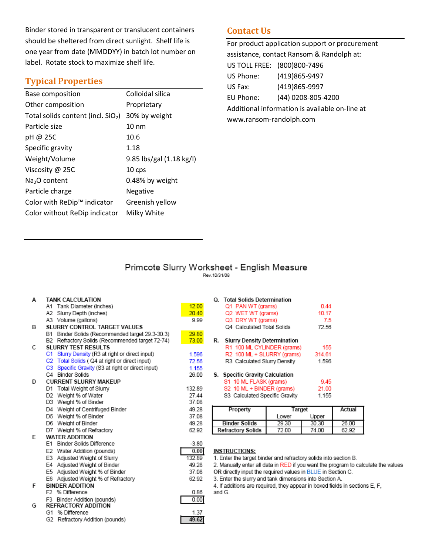Binder stored in transparent or translucent containers should be sheltered from direct sunlight. Shelf life is one year from date (MMDDYY) in batch lot number on label. Rotate stock to maximize shelf life.

## **Typical Properties**

| <b>Base composition</b>              | Colloidal silica         |
|--------------------------------------|--------------------------|
| Other composition                    | Proprietary              |
| Total solids content (incl. $SiO2$ ) | 30% by weight            |
| Particle size                        | $10 \text{ nm}$          |
| pH @ 25C                             | 10.6                     |
| Specific gravity                     | 1.18                     |
| Weight/Volume                        | 9.85 lbs/gal (1.18 kg/l) |
| Viscosity @ 25C                      | 10 <sub>cps</sub>        |
| $Na2O$ content                       | 0.48% by weight          |
| Particle charge                      | Negative                 |
| Color with ReDip™ indicator          | Greenish yellow          |
| Color without ReDip indicator        | Milky White              |

## **Contact Us**

For product application support or procurement assistance, contact Ransom & Randolph at: US TOLL FREE: (800)800-7496 US Phone: (419)865-9497 US Fax: (419)865-9997 EU Phone: (44) 0208-805-4200 Additional information is available on-line at www.ransom-randolph.com

## Primcote Slurry Worksheet - English Measure

 $12.00$  $20.40$ 9.99 29.80 73.00 1.596 72.56 1.155 26.00 132.89 27.44 37.08 49.28 37.08 49.28 62.92  $-3.80$  $0.00$ 

132.89

49.28

37.08

62.92

0.86

 $0.00$ 1.37 49.62

| А | TANK CALCULATION                                    |   |  |  |  |  |  |  |  |
|---|-----------------------------------------------------|---|--|--|--|--|--|--|--|
|   | Tank Diameter (inches)<br>A1.                       |   |  |  |  |  |  |  |  |
|   | A2 Slurry Depth (inches)                            |   |  |  |  |  |  |  |  |
|   | A3 Volume (gallons)                                 |   |  |  |  |  |  |  |  |
| в | SLURRY CONTROL TARGET VALUES                        |   |  |  |  |  |  |  |  |
|   | Binder Solids (Recommended target 29.3-30.3)<br>B1  |   |  |  |  |  |  |  |  |
|   | Refractory Solids (Recommended target 72-74)<br>B2. |   |  |  |  |  |  |  |  |
| C | <b>SLURRY TEST RESULTS</b>                          |   |  |  |  |  |  |  |  |
|   | C1 Slurry Density (R3 at right or direct input)     |   |  |  |  |  |  |  |  |
|   | C2 Total Solids (Q4 at right or direct input)       |   |  |  |  |  |  |  |  |
|   | C3 Specific Gravity (S3 at right or direct input)   |   |  |  |  |  |  |  |  |
|   | C4 Binder Solids                                    |   |  |  |  |  |  |  |  |
| D | <b>CURRENT SLURRY MAKEUP</b>                        |   |  |  |  |  |  |  |  |
|   | D1 Total Weight of Slurry                           |   |  |  |  |  |  |  |  |
|   | D2 Weight % of Water                                |   |  |  |  |  |  |  |  |
|   | D3 Weight % of Binder                               |   |  |  |  |  |  |  |  |
|   | D4 Weight of Centrifuged Binder                     |   |  |  |  |  |  |  |  |
|   | D5 Weight % of Binder                               |   |  |  |  |  |  |  |  |
|   | D6 Weight of Binder                                 |   |  |  |  |  |  |  |  |
|   | D7 Weight % of Refractory                           |   |  |  |  |  |  |  |  |
| E | <b>WATER ADDITION</b>                               |   |  |  |  |  |  |  |  |
|   | E1 Binder Solids Difference                         |   |  |  |  |  |  |  |  |
|   | E2 Water Addition (pounds)                          |   |  |  |  |  |  |  |  |
|   | E3 Adjusted Weight of Slurry                        |   |  |  |  |  |  |  |  |
|   | E4 Adjusted Weight of Binder                        |   |  |  |  |  |  |  |  |
|   | E5 Adjusted Weight % of Binder                      |   |  |  |  |  |  |  |  |
|   | Adjusted Weight % of Refractory<br>E6               |   |  |  |  |  |  |  |  |
| F | <b>BINDER ADDITION</b>                              |   |  |  |  |  |  |  |  |
|   | F <sub>2</sub> % Difference                         |   |  |  |  |  |  |  |  |
|   | Binder Addition (pounds)<br>F3.                     | L |  |  |  |  |  |  |  |
| G | <b>REFRACTORY ADDITION</b>                          |   |  |  |  |  |  |  |  |
|   | G1 % Difference                                     |   |  |  |  |  |  |  |  |
|   | G2<br>Refractory Addition (pounds)                  |   |  |  |  |  |  |  |  |

|    | Q. Total Solids Determination       |        |
|----|-------------------------------------|--------|
|    | Q1 PAN WT (grams)                   | 0.44   |
|    | Q2 WET WT (grams)                   | 10.17  |
|    | Q3 DRY WT (grams)                   | 7.5    |
|    | Q4 Calculated Total Solids          | 72.56  |
| R. | <b>Slurry Density Determination</b> |        |
|    | R1 100 ML CYLINDER (grams)          | 155    |
|    | R2 100 ML + SLURRY (grams)          | 314.61 |
|    | R3 Calculated Slurry Density        | 1.596  |
|    | S. Specific Gravity Calculation     |        |
|    | S1 10 ML FLASK (grams)              | 9.45   |
|    | S2 10 ML + BINDER (grams)           | 21.00  |
|    | S3 Calculated Specific Gravity      | 1 155  |
|    |                                     |        |

| Property                 | Target | Actual |       |
|--------------------------|--------|--------|-------|
|                          | Lower  | Jpper  |       |
| <b>Binder Solids</b>     | 29.30  | 30.30  | 26.00 |
| <b>Refractory Solids</b> | 72 O.O | 74.00  | 62.92 |

#### **INSTRUCTIONS:**

1. Enter the target binder and refractory solids into section B.

2. Manually enter all data in RED if you want the program to calculate the values

OR directly input the required values in BLUE in Section C.

3. Enter the slurry and tank dimensions into Section A.

4. If additions are required, they appear in boxed fields in sections E, F, and G.